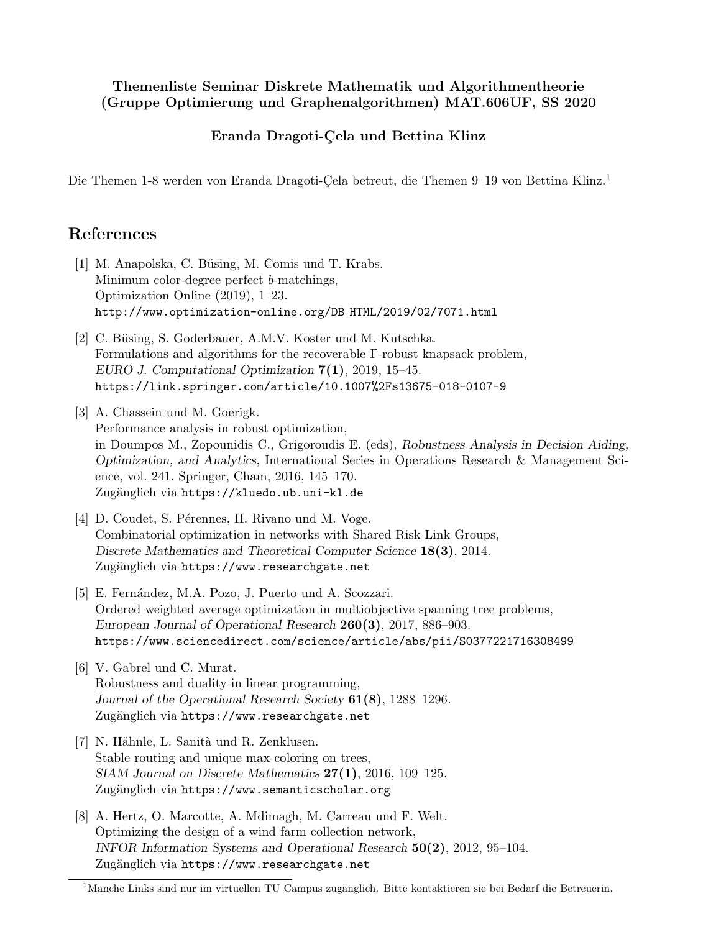## Themenliste Seminar Diskrete Mathematik und Algorithmentheorie (Gruppe Optimierung und Graphenalgorithmen) MAT.606UF, SS 2020

## Eranda Dragoti-Çela und Bettina Klinz

Die Themen 1-8 werden von Eranda Dragoti-Çela betreut, die Themen 9–19 von Bettina Klinz.<sup>1</sup>

## References

- [1] M. Anapolska, C. Büsing, M. Comis und T. Krabs. Minimum color-degree perfect b-matchings, Optimization Online (2019), 1–23. http://www.optimization-online.org/DB HTML/2019/02/7071.html
- [2] C. Büsing, S. Goderbauer, A.M.V. Koster und M. Kutschka. Formulations and algorithms for the recoverable Γ-robust knapsack problem, EURO J. Computational Optimization 7(1), 2019, 15–45. https://link.springer.com/article/10.1007%2Fs13675-018-0107-9
- [3] A. Chassein und M. Goerigk. Performance analysis in robust optimization, in Doumpos M., Zopounidis C., Grigoroudis E. (eds), Robustness Analysis in Decision Aiding, Optimization, and Analytics, International Series in Operations Research & Management Science, vol. 241. Springer, Cham, 2016, 145–170. Zugänglich via https://kluedo.ub.uni-kl.de
- [4] D. Coudet, S. Pérennes, H. Rivano und M. Voge. Combinatorial optimization in networks with Shared Risk Link Groups, Discrete Mathematics and Theoretical Computer Science 18(3), 2014. Zugänglich via https://www.researchgate.net
- [5] E. Fernández, M.A. Pozo, J. Puerto und A. Scozzari. Ordered weighted average optimization in multiobjective spanning tree problems, European Journal of Operational Research 260(3), 2017, 886–903. https://www.sciencedirect.com/science/article/abs/pii/S0377221716308499
- [6] V. Gabrel und C. Murat. Robustness and duality in linear programming, Journal of the Operational Research Society 61(8), 1288–1296. Zugänglich via https://www.researchgate.net
- [7] N. Hähnle, L. Sanità und R. Zenklusen. Stable routing and unique max-coloring on trees,  $SIAM$  Journal on Discrete Mathematics  $27(1)$ , 2016, 109-125. Zugänglich via https://www.semanticscholar.org
- [8] A. Hertz, O. Marcotte, A. Mdimagh, M. Carreau und F. Welt. Optimizing the design of a wind farm collection network, INFOR Information Systems and Operational Research 50(2), 2012, 95–104. Zugänglich via https://www.researchgate.net

 $1$ Manche Links sind nur im virtuellen TU Campus zugänglich. Bitte kontaktieren sie bei Bedarf die Betreuerin.